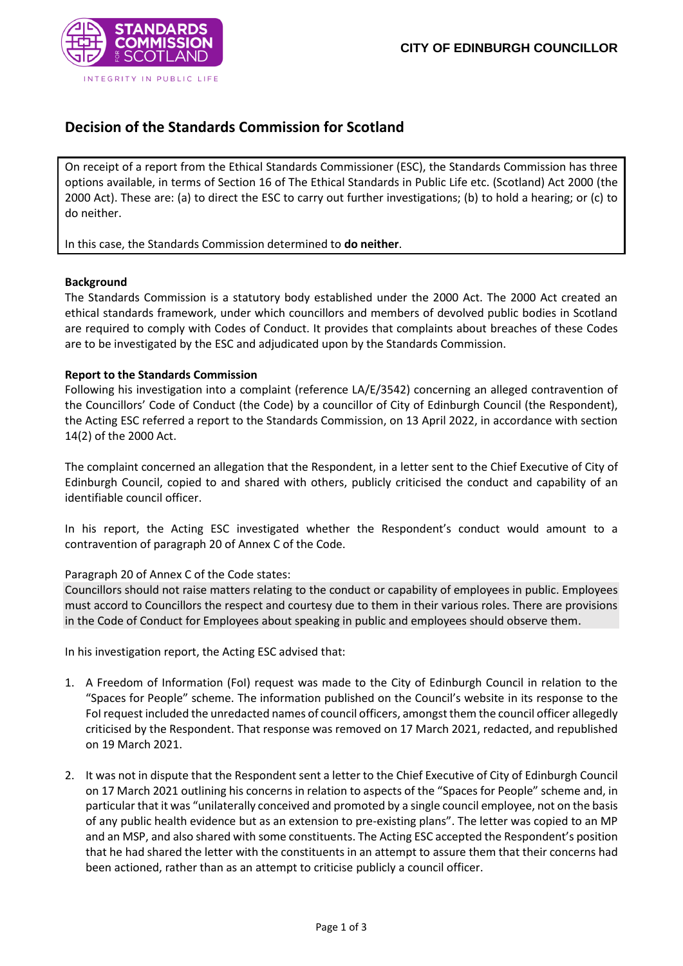

# **Decision of the Standards Commission for Scotland**

On receipt of a report from the Ethical Standards Commissioner (ESC), the Standards Commission has three options available, in terms of Section 16 of The Ethical Standards in Public Life etc. (Scotland) Act 2000 (the 2000 Act). These are: (a) to direct the ESC to carry out further investigations; (b) to hold a hearing; or (c) to do neither.

In this case, the Standards Commission determined to **do neither**.

### **Background**

The Standards Commission is a statutory body established under the 2000 Act. The 2000 Act created an ethical standards framework, under which councillors and members of devolved public bodies in Scotland are required to comply with Codes of Conduct. It provides that complaints about breaches of these Codes are to be investigated by the ESC and adjudicated upon by the Standards Commission.

# **Report to the Standards Commission**

Following his investigation into a complaint (reference LA/E/3542) concerning an alleged contravention of the Councillors' Code of Conduct (the Code) by a councillor of City of Edinburgh Council (the Respondent), the Acting ESC referred a report to the Standards Commission, on 13 April 2022, in accordance with section 14(2) of the 2000 Act.

The complaint concerned an allegation that the Respondent, in a letter sent to the Chief Executive of City of Edinburgh Council, copied to and shared with others, publicly criticised the conduct and capability of an identifiable council officer.

In his report, the Acting ESC investigated whether the Respondent's conduct would amount to a contravention of paragraph 20 of Annex C of the Code.

### Paragraph 20 of Annex C of the Code states:

Councillors should not raise matters relating to the conduct or capability of employees in public. Employees must accord to Councillors the respect and courtesy due to them in their various roles. There are provisions in the Code of Conduct for Employees about speaking in public and employees should observe them.

In his investigation report, the Acting ESC advised that:

- 1. A Freedom of Information (FoI) request was made to the City of Edinburgh Council in relation to the "Spaces for People" scheme. The information published on the Council's website in its response to the FoI request included the unredacted names of council officers, amongst them the council officer allegedly criticised by the Respondent. That response was removed on 17 March 2021, redacted, and republished on 19 March 2021.
- 2. It was not in dispute that the Respondent sent a letter to the Chief Executive of City of Edinburgh Council on 17 March 2021 outlining his concerns in relation to aspects of the "Spaces for People" scheme and, in particular that it was "unilaterally conceived and promoted by a single council employee, not on the basis of any public health evidence but as an extension to pre-existing plans". The letter was copied to an MP and an MSP, and also shared with some constituents. The Acting ESC accepted the Respondent's position that he had shared the letter with the constituents in an attempt to assure them that their concerns had been actioned, rather than as an attempt to criticise publicly a council officer.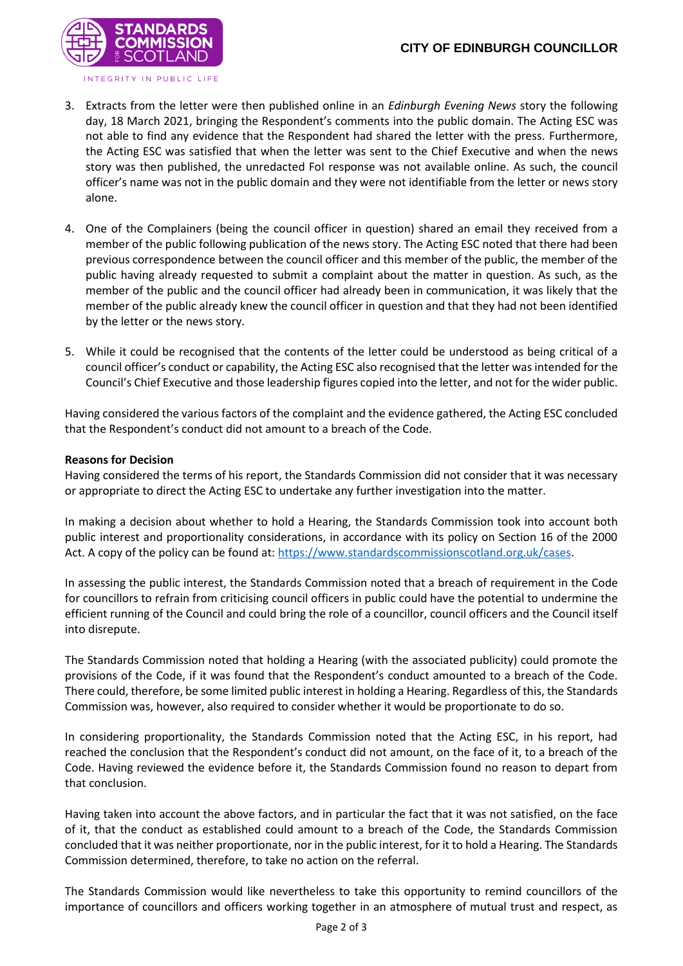

- 3. Extracts from the letter were then published online in an *Edinburgh Evening News* story the following day, 18 March 2021, bringing the Respondent's comments into the public domain. The Acting ESC was not able to find any evidence that the Respondent had shared the letter with the press. Furthermore, the Acting ESC was satisfied that when the letter was sent to the Chief Executive and when the news story was then published, the unredacted FoI response was not available online. As such, the council officer's name was not in the public domain and they were not identifiable from the letter or news story alone.
- 4. One of the Complainers (being the council officer in question) shared an email they received from a member of the public following publication of the news story. The Acting ESC noted that there had been previous correspondence between the council officer and this member of the public, the member of the public having already requested to submit a complaint about the matter in question. As such, as the member of the public and the council officer had already been in communication, it was likely that the member of the public already knew the council officer in question and that they had not been identified by the letter or the news story.
- 5. While it could be recognised that the contents of the letter could be understood as being critical of a council officer's conduct or capability, the Acting ESC also recognised that the letter was intended for the Council's Chief Executive and those leadership figures copied into the letter, and not for the wider public.

Having considered the various factors of the complaint and the evidence gathered, the Acting ESC concluded that the Respondent's conduct did not amount to a breach of the Code.

# **Reasons for Decision**

Having considered the terms of his report, the Standards Commission did not consider that it was necessary or appropriate to direct the Acting ESC to undertake any further investigation into the matter.

In making a decision about whether to hold a Hearing, the Standards Commission took into account both public interest and proportionality considerations, in accordance with its policy on Section 16 of the 2000 Act. A copy of the policy can be found at: [https://www.standardscommissionscotland.org.uk/cases.](https://www.standardscommissionscotland.org.uk/cases)

In assessing the public interest, the Standards Commission noted that a breach of requirement in the Code for councillors to refrain from criticising council officers in public could have the potential to undermine the efficient running of the Council and could bring the role of a councillor, council officers and the Council itself into disrepute.

The Standards Commission noted that holding a Hearing (with the associated publicity) could promote the provisions of the Code, if it was found that the Respondent's conduct amounted to a breach of the Code. There could, therefore, be some limited public interest in holding a Hearing. Regardless of this, the Standards Commission was, however, also required to consider whether it would be proportionate to do so.

In considering proportionality, the Standards Commission noted that the Acting ESC, in his report, had reached the conclusion that the Respondent's conduct did not amount, on the face of it, to a breach of the Code. Having reviewed the evidence before it, the Standards Commission found no reason to depart from that conclusion.

Having taken into account the above factors, and in particular the fact that it was not satisfied, on the face of it, that the conduct as established could amount to a breach of the Code, the Standards Commission concluded that it was neither proportionate, nor in the public interest, for it to hold a Hearing. The Standards Commission determined, therefore, to take no action on the referral.

The Standards Commission would like nevertheless to take this opportunity to remind councillors of the importance of councillors and officers working together in an atmosphere of mutual trust and respect, as